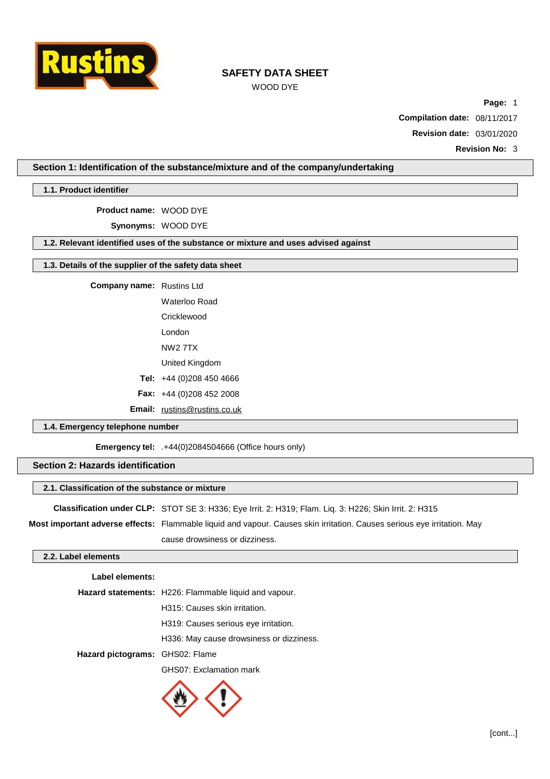

# WOOD DYE

**Page:** 1

**Compilation date:** 08/11/2017

**Revision date:** 03/01/2020

**Revision No:** 3

## **Section 1: Identification of the substance/mixture and of the company/undertaking**

**1.1. Product identifier**

**Product name:** WOOD DYE

**Synonyms:** WOOD DYE

## **1.2. Relevant identified uses of the substance or mixture and uses advised against**

## **1.3. Details of the supplier of the safety data sheet**

**Company name:** Rustins Ltd

Waterloo Road

**Cricklewood** 

London

NW2 7TX

- United Kingdom
- **Tel:** +44 (0)208 450 4666
- **Fax:** +44 (0)208 452 2008

**Email:** [rustins@rustins.co.uk](mailto:rustins@rustins.co.uk)

## **1.4. Emergency telephone number**

**Emergency tel:** .+44(0)2084504666 (Office hours only)

#### **Section 2: Hazards identification**

#### **2.1. Classification of the substance or mixture**

**Classification under CLP:** STOT SE 3: H336; Eye Irrit. 2: H319; Flam. Liq. 3: H226; Skin Irrit. 2: H315

**Most important adverse effects:** Flammable liquid and vapour. Causes skin irritation. Causes serious eye irritation. May cause drowsiness or dizziness.

#### **2.2. Label elements**

#### **Label elements:**

|                                 | <b>Hazard statements:</b> H226: Flammable liquid and vapour. |  |
|---------------------------------|--------------------------------------------------------------|--|
|                                 | H315: Causes skin irritation.                                |  |
|                                 | H319: Causes serious eye irritation.                         |  |
|                                 | H336: May cause drowsiness or dizziness.                     |  |
| Hazard pictograms: GHS02: Flame |                                                              |  |
|                                 | GHS07: Exclamation mark                                      |  |

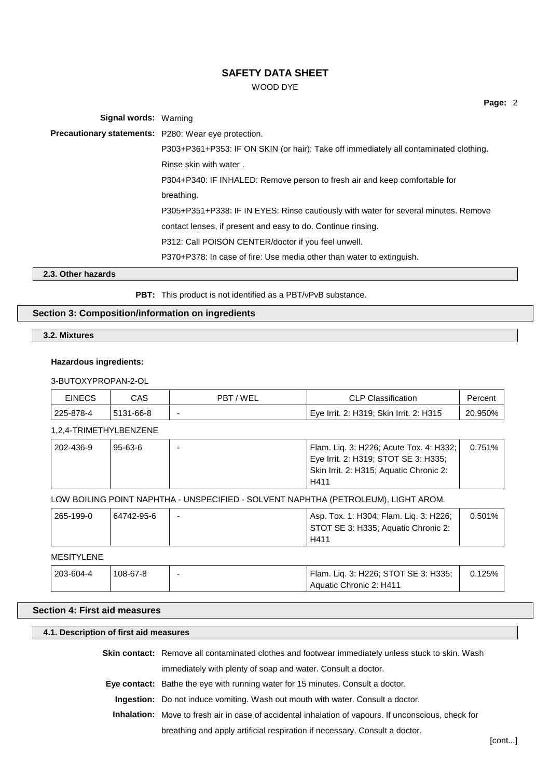## WOOD DYE

**Signal words:** Warning **Precautionary statements:** P280: Wear eye protection. P303+P361+P353: IF ON SKIN (or hair): Take off immediately all contaminated clothing. Rinse skin with water . P304+P340: IF INHALED: Remove person to fresh air and keep comfortable for breathing. P305+P351+P338: IF IN EYES: Rinse cautiously with water for several minutes. Remove contact lenses, if present and easy to do. Continue rinsing. P312: Call POISON CENTER/doctor if you feel unwell. P370+P378: In case of fire: Use media other than water to extinguish. **2.3. Other hazards**

**PBT:** This product is not identified as a PBT/vPvB substance.

## **Section 3: Composition/information on ingredients**

## **3.2. Mixtures**

#### **Hazardous ingredients:**

#### 3-BUTOXYPROPAN-2-OL

| <b>EINECS</b> | CAS       | PBT/WEL                  | <b>CLP Classification</b>               | Percent |
|---------------|-----------|--------------------------|-----------------------------------------|---------|
| 225-878-4     | 5131-66-8 | $\overline{\phantom{0}}$ | Eye Irrit. 2: H319; Skin Irrit. 2: H315 | 20.950% |

#### 1,2,4-TRIMETHYLBENZENE

| 202-436-9 | 95-63-6 | Flam. Liq. 3: H226; Acute Tox. 4: H332; | 0.751% |
|-----------|---------|-----------------------------------------|--------|
|           |         | Eye Irrit. 2: H319; STOT SE 3: H335;    |        |
|           |         | Skin Irrit. 2: H315; Aquatic Chronic 2: |        |
|           |         | H411                                    |        |

#### LOW BOILING POINT NAPHTHA - UNSPECIFIED - SOLVENT NAPHTHA (PETROLEUM), LIGHT AROM.

| 265-199-0 | 64742-95-6 | $\overline{\phantom{0}}$ | Asp. Tox. 1: H304; Flam. Liq. 3: H226; | 0.501% |
|-----------|------------|--------------------------|----------------------------------------|--------|
|           |            |                          | STOT SE 3: H335; Aquatic Chronic 2:    |        |
|           |            |                          | H411                                   |        |

## **MESITYLENE**

| 203-604-4 | 108-67-8 | Flam. Liq. 3: H226; STOT SE 3: H335; | 0.125% |
|-----------|----------|--------------------------------------|--------|
|           |          | Aquatic Chronic 2: H411              |        |

## **Section 4: First aid measures**

## **4.1. Description of first aid measures**

**Skin contact:** Remove all contaminated clothes and footwear immediately unless stuck to skin. Wash immediately with plenty of soap and water. Consult a doctor.

**Eye contact:** Bathe the eye with running water for 15 minutes. Consult a doctor.

**Ingestion:** Do not induce vomiting. Wash out mouth with water. Consult a doctor.

**Inhalation:** Move to fresh air in case of accidental inhalation of vapours. If unconscious, check for breathing and apply artificial respiration if necessary. Consult a doctor.

**Page:** 2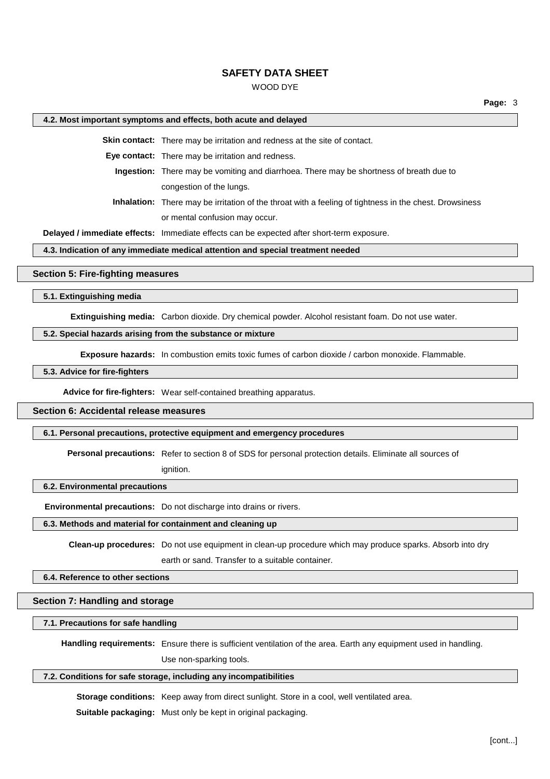## WOOD DYE

#### **4.2. Most important symptoms and effects, both acute and delayed**

**Skin contact:** There may be irritation and redness at the site of contact.

**Eye contact:** There may be irritation and redness.

**Ingestion:** There may be vomiting and diarrhoea. There may be shortness of breath due to congestion of the lungs.

**Inhalation:** There may be irritation of the throat with a feeling of tightness in the chest. Drowsiness or mental confusion may occur.

**Delayed / immediate effects:** Immediate effects can be expected after short-term exposure.

## **4.3. Indication of any immediate medical attention and special treatment needed**

#### **Section 5: Fire-fighting measures**

**5.1. Extinguishing media**

**Extinguishing media:** Carbon dioxide. Dry chemical powder. Alcohol resistant foam. Do not use water.

#### **5.2. Special hazards arising from the substance or mixture**

**Exposure hazards:** In combustion emits toxic fumes of carbon dioxide / carbon monoxide. Flammable.

**5.3. Advice for fire-fighters**

**Advice for fire-fighters:** Wear self-contained breathing apparatus.

# **Section 6: Accidental release measures**

#### **6.1. Personal precautions, protective equipment and emergency procedures**

**Personal precautions:** Refer to section 8 of SDS for personal protection details. Eliminate all sources of

ignition.

#### **6.2. Environmental precautions**

**Environmental precautions:** Do not discharge into drains or rivers.

#### **6.3. Methods and material for containment and cleaning up**

**Clean-up procedures:** Do not use equipment in clean-up procedure which may produce sparks. Absorb into dry earth or sand. Transfer to a suitable container.

#### **6.4. Reference to other sections**

#### **Section 7: Handling and storage**

#### **7.1. Precautions for safe handling**

**Handling requirements:** Ensure there is sufficient ventilation of the area. Earth any equipment used in handling.

Use non-sparking tools.

### **7.2. Conditions for safe storage, including any incompatibilities**

**Storage conditions:** Keep away from direct sunlight. Store in a cool, well ventilated area.

**Suitable packaging:** Must only be kept in original packaging.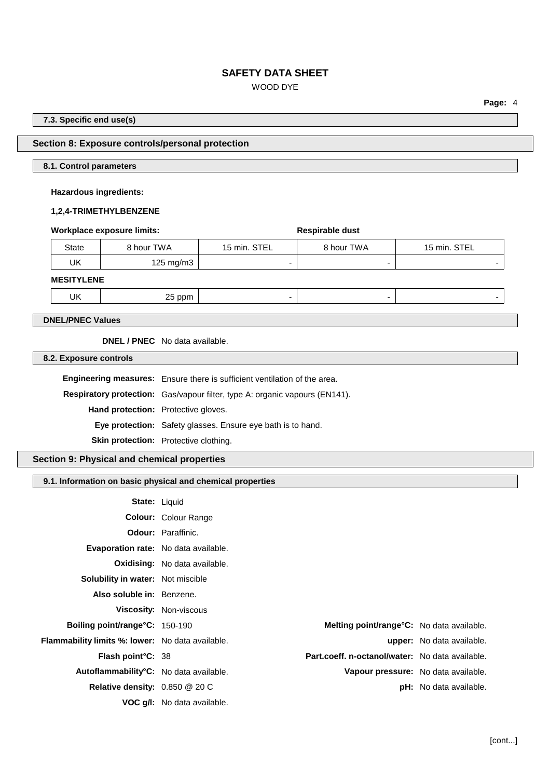# WOOD DYE

**Page:** 4

#### **7.3. Specific end use(s)**

## **Section 8: Exposure controls/personal protection**

#### **8.1. Control parameters**

#### **Hazardous ingredients:**

## **1,2,4-TRIMETHYLBENZENE**

## **Workplace** exposure limits: **Respirable** dust

| <b>State</b> | 8 hour TWA   | 15 min. STEL | 8 hour TWA | 15 min. STEL |
|--------------|--------------|--------------|------------|--------------|
| UK           | 125 mg/m $3$ |              |            |              |
| 11000        |              |              |            |              |

## **MESITYLENE**

UK 25 ppm - - -

**DNEL/PNEC Values**

**DNEL / PNEC** No data available.

**8.2. Exposure controls**

**Engineering measures:** Ensure there is sufficient ventilation of the area.

**Respiratory protection:** Gas/vapour filter, type A: organic vapours (EN141).

**Hand protection:** Protective gloves.

**Eye protection:** Safety glasses. Ensure eye bath is to hand.

**Skin protection:** Protective clothing.

# **Section 9: Physical and chemical properties**

## **9.1. Information on basic physical and chemical properties**

|                                                         | <b>State: Liquid</b>                              |                                  |
|---------------------------------------------------------|---------------------------------------------------|----------------------------------|
|                                                         | <b>Colour: Colour Range</b>                       |                                  |
|                                                         | <b>Odour:</b> Paraffinic.                         |                                  |
| <b>Evaporation rate:</b> No data available.             |                                                   |                                  |
|                                                         | <b>Oxidising:</b> No data available.              |                                  |
| <b>Solubility in water:</b> Not miscible                |                                                   |                                  |
| Also soluble in: Benzene.                               |                                                   |                                  |
|                                                         | <b>Viscosity: Non-viscous</b>                     |                                  |
| <b>Boiling point/range °C: 150-190</b>                  | <b>Melting point/range °C:</b> No data available. |                                  |
| <b>Flammability limits %: lower:</b> No data available. |                                                   | <b>upper:</b> No data available. |
| <b>Flash point °C: 38</b>                               | Part.coeff. n-octanol/water: No data available.   |                                  |
| Autoflammability <sup>°</sup> C: No data available.     | Vapour pressure: No data available.               |                                  |
| Relative density: 0.850 @ 20 C                          |                                                   | <b>pH:</b> No data available.    |
|                                                         | VOC g/I: No data available.                       |                                  |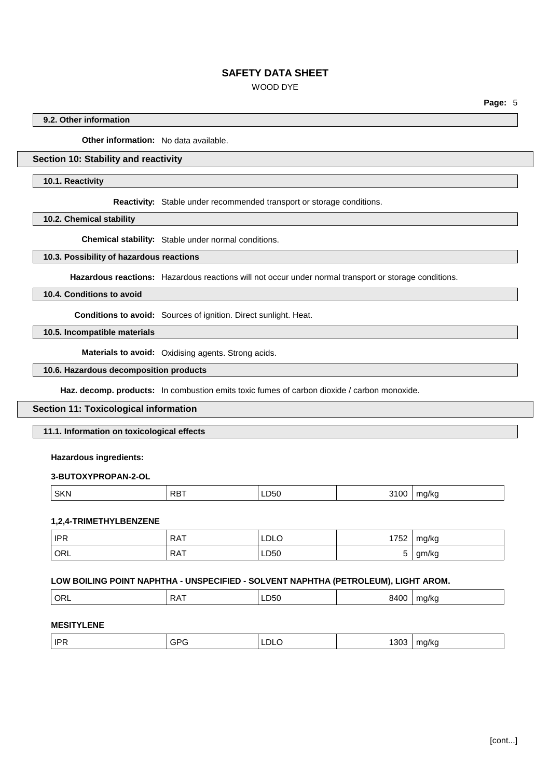# WOOD DYE

**Page:** 5

## **9.2. Other information**

**Other information:** No data available.

# **Section 10: Stability and reactivity**

#### **10.1. Reactivity**

**Reactivity:** Stable under recommended transport or storage conditions.

**10.2. Chemical stability**

**Chemical stability:** Stable under normal conditions.

#### **10.3. Possibility of hazardous reactions**

**Hazardous reactions:** Hazardous reactions will not occur under normal transport or storage conditions.

## **10.4. Conditions to avoid**

**Conditions to avoid:** Sources of ignition. Direct sunlight. Heat.

# **10.5. Incompatible materials**

**Materials to avoid:** Oxidising agents. Strong acids.

#### **10.6. Hazardous decomposition products**

**Haz. decomp. products:** In combustion emits toxic fumes of carbon dioxide / carbon monoxide.

## **Section 11: Toxicological information**

#### **11.1. Information on toxicological effects**

#### **Hazardous ingredients:**

#### **3-BUTOXYPROPAN-2-OL**

|  | <b>SKN</b><br>RB <sup>-</sup> | LDOU<br>$ -$ | . | ma/ka<br>. . |
|--|-------------------------------|--------------|---|--------------|
|--|-------------------------------|--------------|---|--------------|

#### **1,2,4-TRIMETHYLBENZENE**

| <b>IPR</b> | <b>RAT</b> | LDLO | 1752 | mg/kg |
|------------|------------|------|------|-------|
| ORL        | <b>RAT</b> | LD50 |      | gm/kg |

#### **LOW BOILING POINT NAPHTHA - UNSPECIFIED - SOLVENT NAPHTHA (PETROLEUM), LIGHT AROM.**

| ORL | .<br>DΛ | LD50<br>$ -$ | $A \cap C$<br>XΔ | .na/kc |
|-----|---------|--------------|------------------|--------|
|     |         |              |                  |        |

## **MESITYLENE**

| <b>IPR</b> | GPC | LDLO | 1000 | na/ka |
|------------|-----|------|------|-------|
|            |     |      | טט ' | - 11  |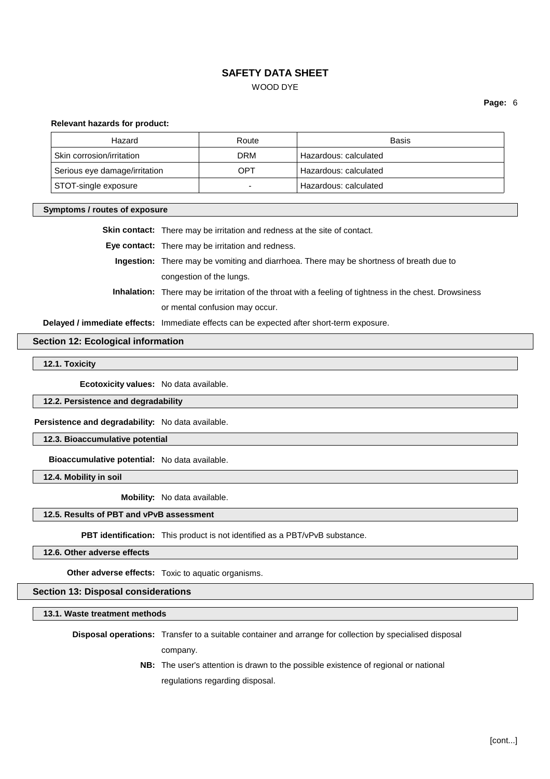WOOD DYE

**Page:** 6

#### **Relevant hazards for product:**

| Hazard                        | Route | Basis                 |
|-------------------------------|-------|-----------------------|
| Skin corrosion/irritation     | DRM   | Hazardous: calculated |
| Serious eye damage/irritation | OPT   | Hazardous: calculated |
| STOT-single exposure          |       | Hazardous: calculated |

#### **Symptoms / routes of exposure**

**Skin contact:** There may be irritation and redness at the site of contact.

**Eye contact:** There may be irritation and redness.

- **Ingestion:** There may be vomiting and diarrhoea. There may be shortness of breath due to congestion of the lungs.
- **Inhalation:** There may be irritation of the throat with a feeling of tightness in the chest. Drowsiness or mental confusion may occur.

**Delayed / immediate effects:** Immediate effects can be expected after short-term exposure.

## **Section 12: Ecological information**

## **12.1. Toxicity**

**Ecotoxicity values:** No data available.

#### **12.2. Persistence and degradability**

**Persistence and degradability:** No data available.

#### **12.3. Bioaccumulative potential**

**Bioaccumulative potential:** No data available.

**12.4. Mobility in soil**

**Mobility:** No data available.

#### **12.5. Results of PBT and vPvB assessment**

**PBT identification:** This product is not identified as a PBT/vPvB substance.

**12.6. Other adverse effects**

**Other adverse effects:** Toxic to aquatic organisms.

#### **Section 13: Disposal considerations**

**13.1. Waste treatment methods**

**Disposal operations:** Transfer to a suitable container and arrange for collection by specialised disposal company.

> **NB:** The user's attention is drawn to the possible existence of regional or national regulations regarding disposal.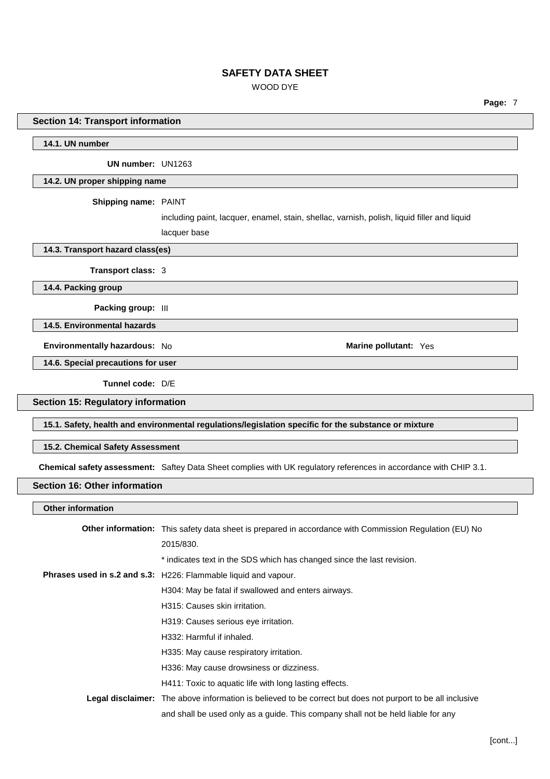# WOOD DYE

**Page:** 7

## **Section 14: Transport information**

**14.1. UN number**

**UN number:** UN1263

#### **14.2. UN proper shipping name**

**Shipping name:** PAINT

including paint, lacquer, enamel, stain, shellac, varnish, polish, liquid filler and liquid lacquer base

**14.3. Transport hazard class(es)**

**Transport class:** 3

**14.4. Packing group**

**Packing group:** III

**14.5. Environmental hazards**

**Environmentally hazardous:** No **Marine Marine Marine** pollutant: Yes

**14.6. Special precautions for user**

**Tunnel code:** D/E

**Section 15: Regulatory information**

**15.1. Safety, health and environmental regulations/legislation specific for the substance or mixture**

**15.2. Chemical Safety Assessment**

**Chemical safety assessment:** Saftey Data Sheet complies with UK regulatory references in accordance with CHIP 3.1.

## **Section 16: Other information**

**Other information**

| <b>Other information:</b> This safety data sheet is prepared in accordance with Commission Regulation (EU) No     |
|-------------------------------------------------------------------------------------------------------------------|
| 2015/830.                                                                                                         |
| * indicates text in the SDS which has changed since the last revision.                                            |
| Phrases used in s.2 and s.3: H226: Flammable liquid and vapour.                                                   |
| H304: May be fatal if swallowed and enters airways.                                                               |
| H315: Causes skin irritation.                                                                                     |
| H319: Causes serious eye irritation.                                                                              |
| H332: Harmful if inhaled.                                                                                         |
| H335: May cause respiratory irritation.                                                                           |
| H336: May cause drowsiness or dizziness.                                                                          |
| H411: Toxic to aquatic life with long lasting effects.                                                            |
| <b>Legal disclaimer:</b> The above information is believed to be correct but does not purport to be all inclusive |
| and shall be used only as a quide. This company shall not be held liable for any                                  |